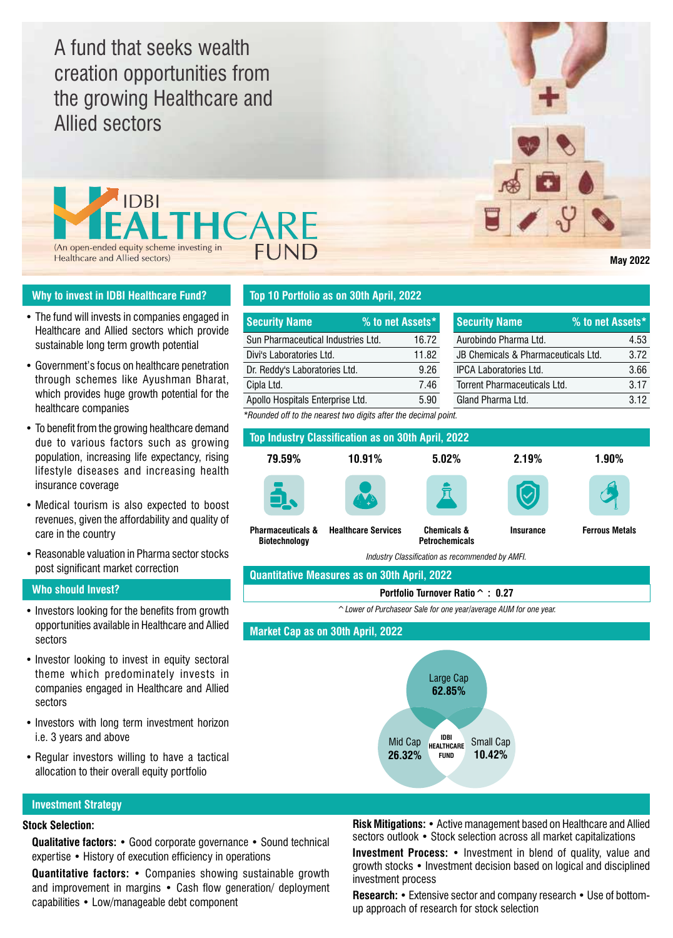A fund that seeks wealth creation opportunities from the growing Healthcare and Allied sectors



# **Why to invest in IDBI Healthcare Fund?**

- The fund will invests in companies engaged in Healthcare and Allied sectors which provide sustainable long term growth potential
- Government's focus on healthcare penetration through schemes like Ayushman Bharat, which provides huge growth potential for the healthcare companies
- To benefit from the growing healthcare demand due to various factors such as growing population, increasing life expectancy, rising lifestyle diseases and increasing health insurance coverage
- Medical tourism is also expected to boost revenues, given the affordability and quality of care in the country
- Reasonable valuation in Pharma sector stocks post significant market correction

## **Who should Invest?**

- Investors looking for the benefits from growth opportunities available in Healthcare and Allied sectors
- Investor looking to invest in equity sectoral theme which predominately invests in companies engaged in Healthcare and Allied sectors
- Investors with long term investment horizon i.e. 3 years and above
- Regular investors willing to have a tactical allocation to their overall equity portfolio

# **Top 10 Portfolio as on 30th April, 2022**

| <b>Security Name</b>               | % to net Assets* | <b>Security Name</b>                | % to net Assets* |      |
|------------------------------------|------------------|-------------------------------------|------------------|------|
| Sun Pharmaceutical Industries Ltd. | 16.72            | Aurobindo Pharma Ltd.               |                  | 4.53 |
| Divi's Laboratories Ltd.           | 11.82            | JB Chemicals & Pharmaceuticals Ltd. |                  | 3.72 |
| Dr. Reddy's Laboratories Ltd.      | 9.26             | <b>IPCA Laboratories Ltd.</b>       |                  | 3.66 |
| Cipla Ltd.                         | 7.46             | Torrent Pharmaceuticals Ltd.        |                  | 3.17 |
| Apollo Hospitals Enterprise Ltd.   | 5.90             | Gland Pharma Ltd.                   |                  | 3.12 |
|                                    |                  |                                     |                  |      |

*\*Rounded off to the nearest two digits after the decimal point.*



**Quantitative Measures as on 30th April, 2022**

### **Portfolio Turnover Ratio^ : 0.27**

*^Lower of Purchaseor Sale for one year/average AUM for one year.*

**Market Cap as on 30th April, 2022**



# **Investment Strategy**

# **Stock Selection:**

**Qualitative factors:** • Good corporate governance • Sound technical expertise • History of execution efficiency in operations

**Quantitative factors:** • Companies showing sustainable growth and improvement in margins • Cash flow generation/ deployment capabilities • Low/manageable debt component

**Risk Mitigations:** • Active management based on Healthcare and Allied sectors outlook • Stock selection across all market capitalizations

**Investment Process:** • Investment in blend of quality, value and growth stocks • Investment decision based on logical and disciplined investment process

**Research:** • Extensive sector and company research • Use of bottomup approach of research for stock selection

**May 2022**